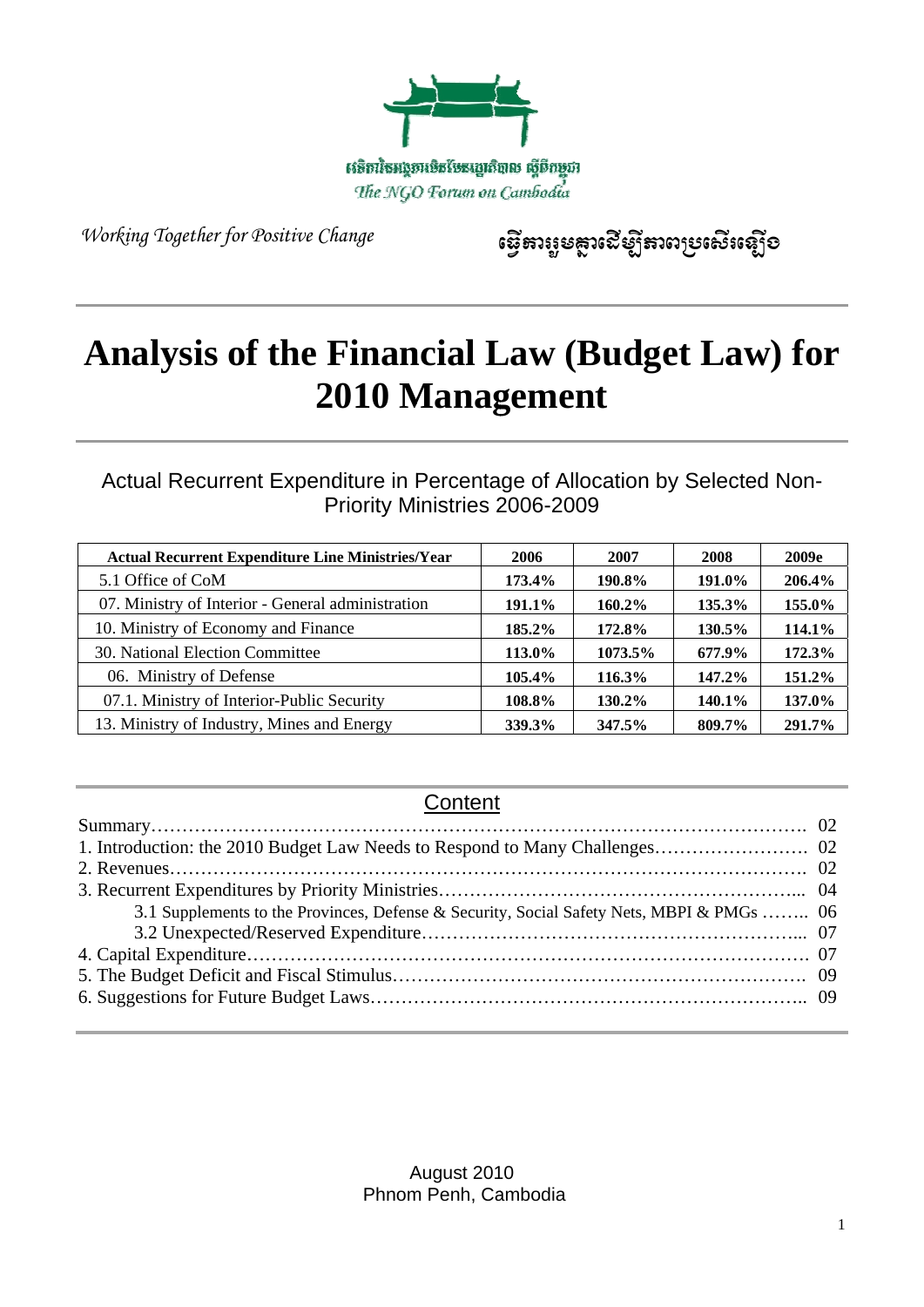

*W Working To Together for Positive Ch hange* 

ទ្ធើតាព្យូមគ្លាលើឡីតាពប្រសើរឡើខ

# Analysis of the Financial Law (Budget Law) for 2010 Management

Actual Recurrent Expenditure in Percentage of Allocation by Selected Non-Priority Ministries 2006-2009

| <b>Actual Recurrent Expenditure Line Ministries/Year</b> | 2006          | 2007          | 2008      | 2009e  |
|----------------------------------------------------------|---------------|---------------|-----------|--------|
| 5.1 Office of CoM                                        | 173.4%        | 190.8%        | 191.0%    | 206.4% |
| 07. Ministry of Interior - General administration        | 191.1%        | $160.2\%$     | 135.3%    | 155.0% |
| 10. Ministry of Economy and Finance                      | 185.2%        | 172.8%        | 130.5%    | 114.1% |
| 30. National Election Committee                          | 113.0%        | 1073.5%       | 677.9%    | 172.3% |
| 06. Ministry of Defense                                  | 105.4%        | 116.3%        | 147.2%    | 151.2% |
| 07.1. Ministry of Interior-Public Security               | 108.8%        | $130.2\%$     | $140.1\%$ | 137.0% |
| 13. Ministry of Industry, Mines and Energy               | <b>339.3%</b> | <b>347.5%</b> | 809.7%    | 291.7% |

# **Content**

| 3.1 Supplements to the Provinces, Defense & Security, Social Safety Nets, MBPI & PMGs  06 |  |
|-------------------------------------------------------------------------------------------|--|
|                                                                                           |  |
|                                                                                           |  |
|                                                                                           |  |
|                                                                                           |  |

A August 201 0 Phnom Penh, Cambodia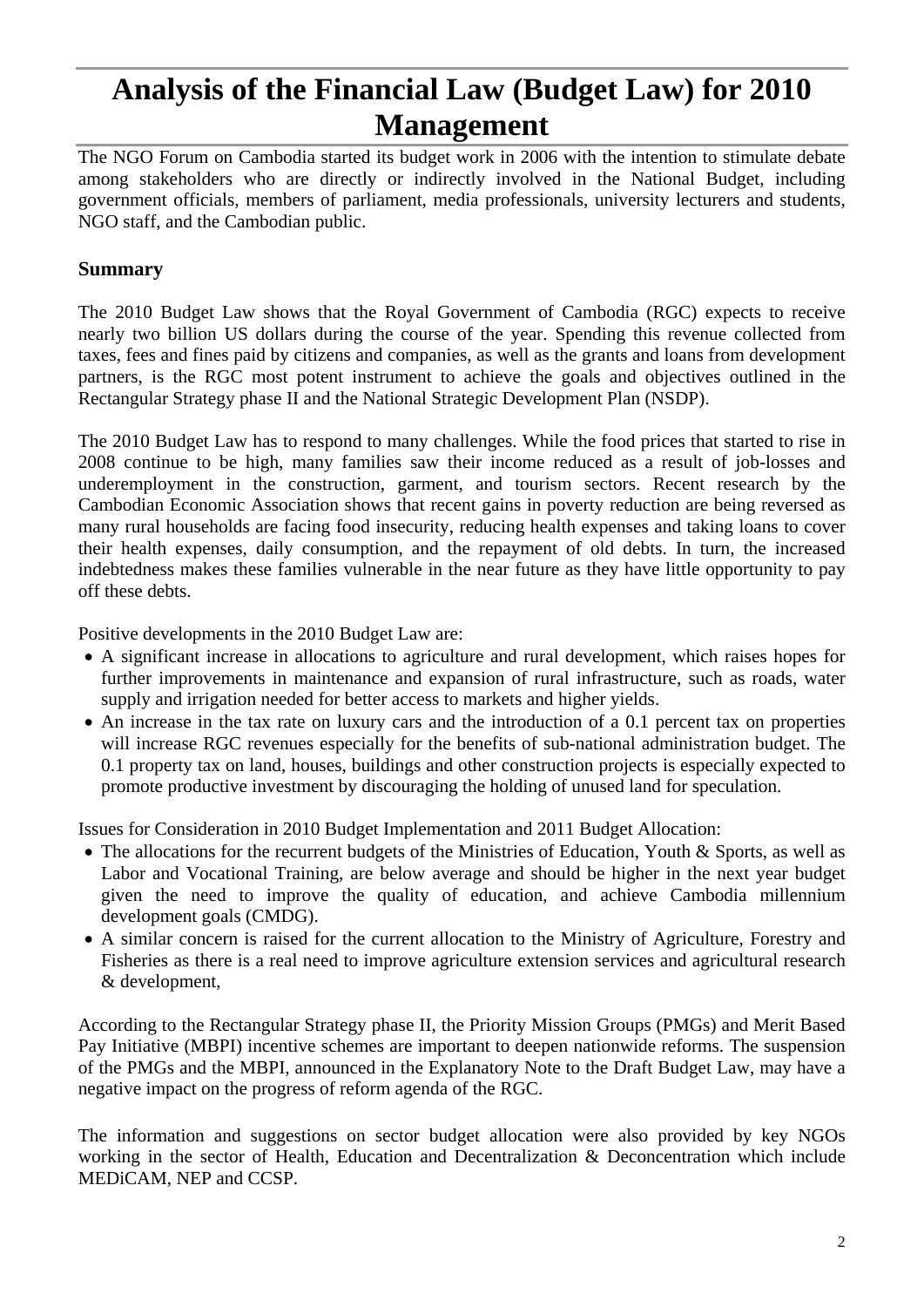# **Analysis of the Financial Law (Budget Law) for 2010 Management**

The NGO Forum on Cambodia started its budget work in 2006 with the intention to stimulate debate among stakeholders who are directly or indirectly involved in the National Budget, including government officials, members of parliament, media professionals, university lecturers and students, NGO staff, and the Cambodian public.

#### **Summary**

The 2010 Budget Law shows that the Royal Government of Cambodia (RGC) expects to receive nearly two billion US dollars during the course of the year. Spending this revenue collected from taxes, fees and fines paid by citizens and companies, as well as the grants and loans from development partners, is the RGC most potent instrument to achieve the goals and objectives outlined in the Rectangular Strategy phase II and the National Strategic Development Plan (NSDP).

The 2010 Budget Law has to respond to many challenges. While the food prices that started to rise in 2008 continue to be high, many families saw their income reduced as a result of job-losses and underemployment in the construction, garment, and tourism sectors. Recent research by the Cambodian Economic Association shows that recent gains in poverty reduction are being reversed as many rural households are facing food insecurity, reducing health expenses and taking loans to cover their health expenses, daily consumption, and the repayment of old debts. In turn, the increased indebtedness makes these families vulnerable in the near future as they have little opportunity to pay off these debts.

Positive developments in the 2010 Budget Law are:

- A significant increase in allocations to agriculture and rural development, which raises hopes for further improvements in maintenance and expansion of rural infrastructure, such as roads, water supply and irrigation needed for better access to markets and higher yields.
- An increase in the tax rate on luxury cars and the introduction of a 0.1 percent tax on properties will increase RGC revenues especially for the benefits of sub-national administration budget. The 0.1 property tax on land, houses, buildings and other construction projects is especially expected to promote productive investment by discouraging the holding of unused land for speculation.

Issues for Consideration in 2010 Budget Implementation and 2011 Budget Allocation:

- The allocations for the recurrent budgets of the Ministries of Education, Youth & Sports, as well as Labor and Vocational Training, are below average and should be higher in the next year budget given the need to improve the quality of education, and achieve Cambodia millennium development goals (CMDG).
- A similar concern is raised for the current allocation to the Ministry of Agriculture, Forestry and Fisheries as there is a real need to improve agriculture extension services and agricultural research & development,

According to the Rectangular Strategy phase II, the Priority Mission Groups (PMGs) and Merit Based Pay Initiative (MBPI) incentive schemes are important to deepen nationwide reforms. The suspension of the PMGs and the MBPI, announced in the Explanatory Note to the Draft Budget Law, may have a negative impact on the progress of reform agenda of the RGC.

The information and suggestions on sector budget allocation were also provided by key NGOs working in the sector of Health, Education and Decentralization & Deconcentration which include MEDiCAM, NEP and CCSP.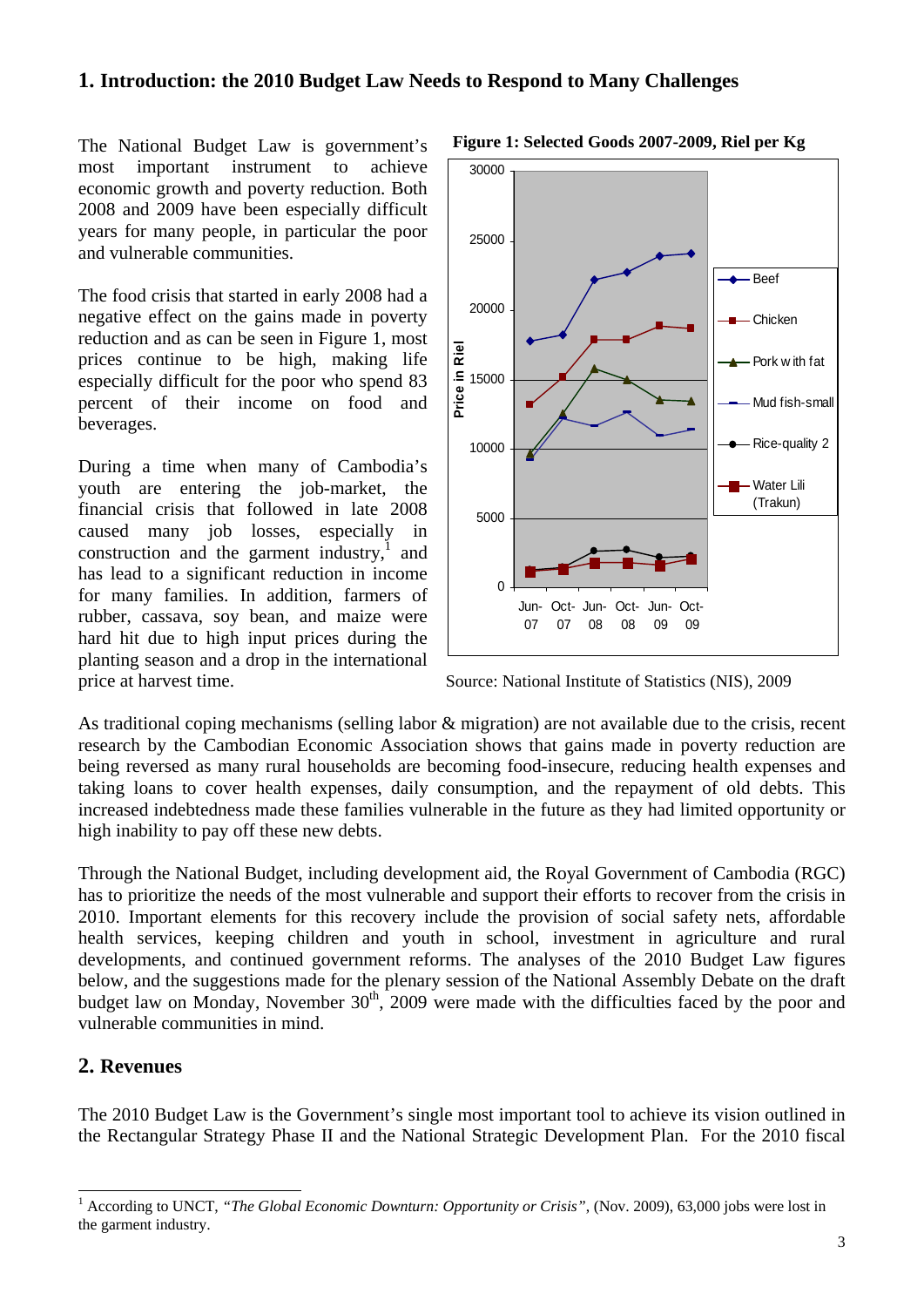#### **1. Introduction: the 2010 Budget Law Needs to Respond to Many Challenges**

The National Budget Law is government's most important instrument to achieve economic growth and poverty reduction. Both 2008 and 2009 have been especially difficult years for many people, in particular the poor and vulnerable communities.

The food crisis that started in early 2008 had a negative effect on the gains made in poverty reduction and as can be seen in Figure 1, most prices continue to be high, making life especially difficult for the poor who spend 83 percent of their income on food and beverages.

During a time when many of Cambodia's youth are entering the job-market, the financial crisis that followed in late 2008 caused many job losses, especially in construction and the garment industry, $\frac{1}{1}$  and has lead to a significant reduction in income for many families. In addition, farmers of rubber, cassava, soy bean, and maize were hard hit due to high input prices during the planting season and a drop in the international price at harvest time. Source: National Institute of Statistics (NIS), 2009



**Figure 1: Selected Goods 2007-2009, Riel per Kg** 

As traditional coping mechanisms (selling labor & migration) are not available due to the crisis, recent research by the Cambodian Economic Association shows that gains made in poverty reduction are being reversed as many rural households are becoming food-insecure, reducing health expenses and taking loans to cover health expenses, daily consumption, and the repayment of old debts. This increased indebtedness made these families vulnerable in the future as they had limited opportunity or high inability to pay off these new debts.

Through the National Budget, including development aid, the Royal Government of Cambodia (RGC) has to prioritize the needs of the most vulnerable and support their efforts to recover from the crisis in 2010. Important elements for this recovery include the provision of social safety nets, affordable health services, keeping children and youth in school, investment in agriculture and rural developments, and continued government reforms. The analyses of the 2010 Budget Law figures below, and the suggestions made for the plenary session of the National Assembly Debate on the draft budget law on Monday, November  $30<sup>th</sup>$ , 2009 were made with the difficulties faced by the poor and vulnerable communities in mind.

#### **2. Revenues**

 $\overline{a}$ 

The 2010 Budget Law is the Government's single most important tool to achieve its vision outlined in the Rectangular Strategy Phase II and the National Strategic Development Plan. For the 2010 fiscal

<sup>1</sup> According to UNCT, *"The Global Economic Downturn: Opportunity or Crisis"*, (Nov. 2009), 63,000 jobs were lost in the garment industry.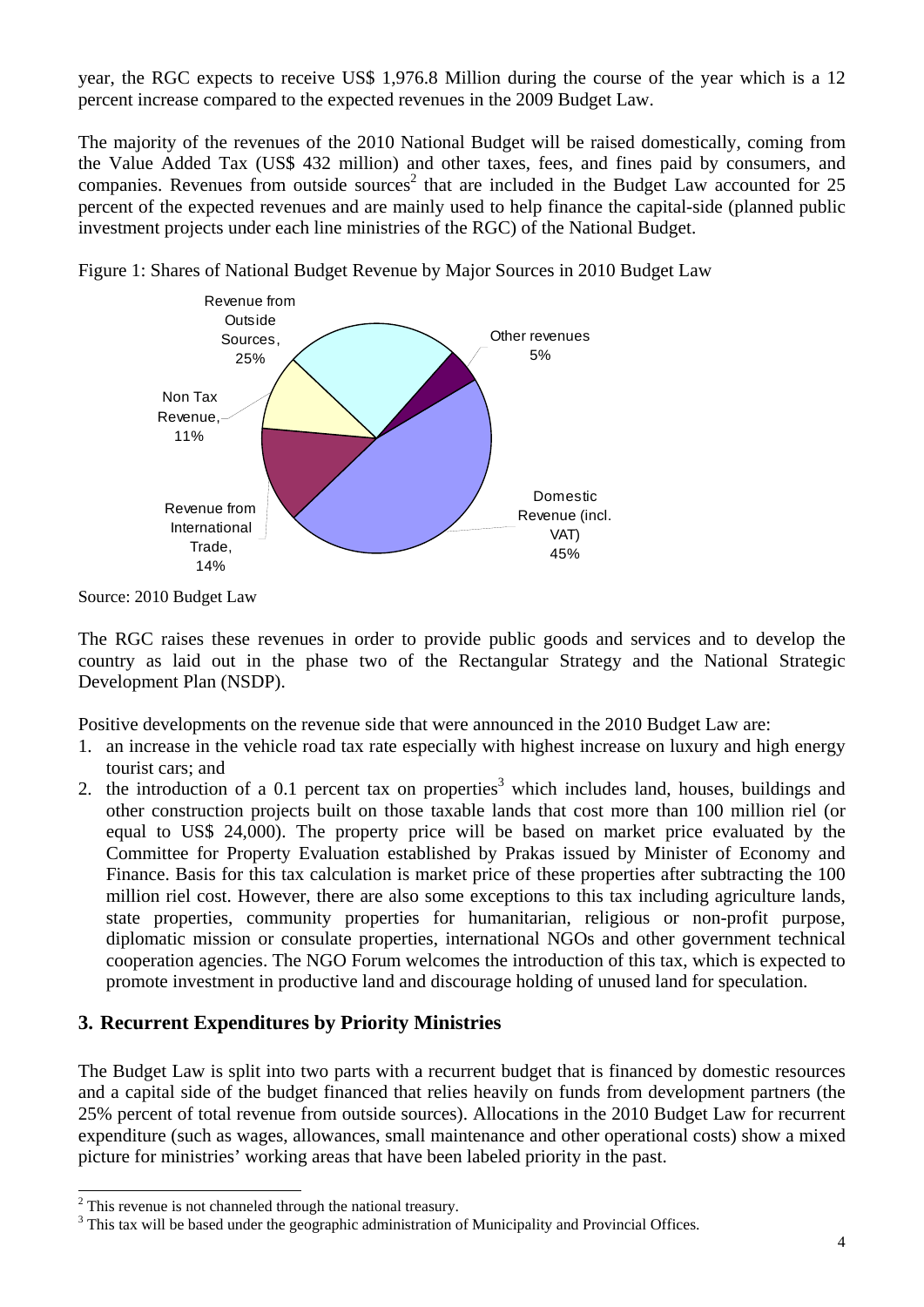year, the RGC expects to receive US\$ 1,976.8 Million during the course of the year which is a 12 percent increase compared to the expected revenues in the 2009 Budget Law.

The majority of the revenues of the 2010 National Budget will be raised domestically, coming from the Value Added Tax (US\$ 432 million) and other taxes, fees, and fines paid by consumers, and companies. Revenues from outside sources<sup>2</sup> that are included in the Budget Law accounted for 25 percent of the expected revenues and are mainly used to help finance the capital-side (planned public investment projects under each line ministries of the RGC) of the National Budget.



Figure 1: Shares of National Budget Revenue by Major Sources in 2010 Budget Law

Source: 2010 Budget Law

The RGC raises these revenues in order to provide public goods and services and to develop the country as laid out in the phase two of the Rectangular Strategy and the National Strategic Development Plan (NSDP).

Positive developments on the revenue side that were announced in the 2010 Budget Law are:

- 1. an increase in the vehicle road tax rate especially with highest increase on luxury and high energy tourist cars; and
- 2. the introduction of a 0.1 percent tax on properties<sup>3</sup> which includes land, houses, buildings and other construction projects built on those taxable lands that cost more than 100 million riel (or equal to US\$ 24,000). The property price will be based on market price evaluated by the Committee for Property Evaluation established by Prakas issued by Minister of Economy and Finance. Basis for this tax calculation is market price of these properties after subtracting the 100 million riel cost. However, there are also some exceptions to this tax including agriculture lands, state properties, community properties for humanitarian, religious or non-profit purpose, diplomatic mission or consulate properties, international NGOs and other government technical cooperation agencies. The NGO Forum welcomes the introduction of this tax, which is expected to promote investment in productive land and discourage holding of unused land for speculation.

## **3. Recurrent Expenditures by Priority Ministries**

The Budget Law is split into two parts with a recurrent budget that is financed by domestic resources and a capital side of the budget financed that relies heavily on funds from development partners (the 25% percent of total revenue from outside sources). Allocations in the 2010 Budget Law for recurrent expenditure (such as wages, allowances, small maintenance and other operational costs) show a mixed picture for ministries' working areas that have been labeled priority in the past.

<sup>&</sup>lt;sup>2</sup> This revenue is not channeled through the national treasury.

 $3$  This tax will be based under the geographic administration of Municipality and Provincial Offices.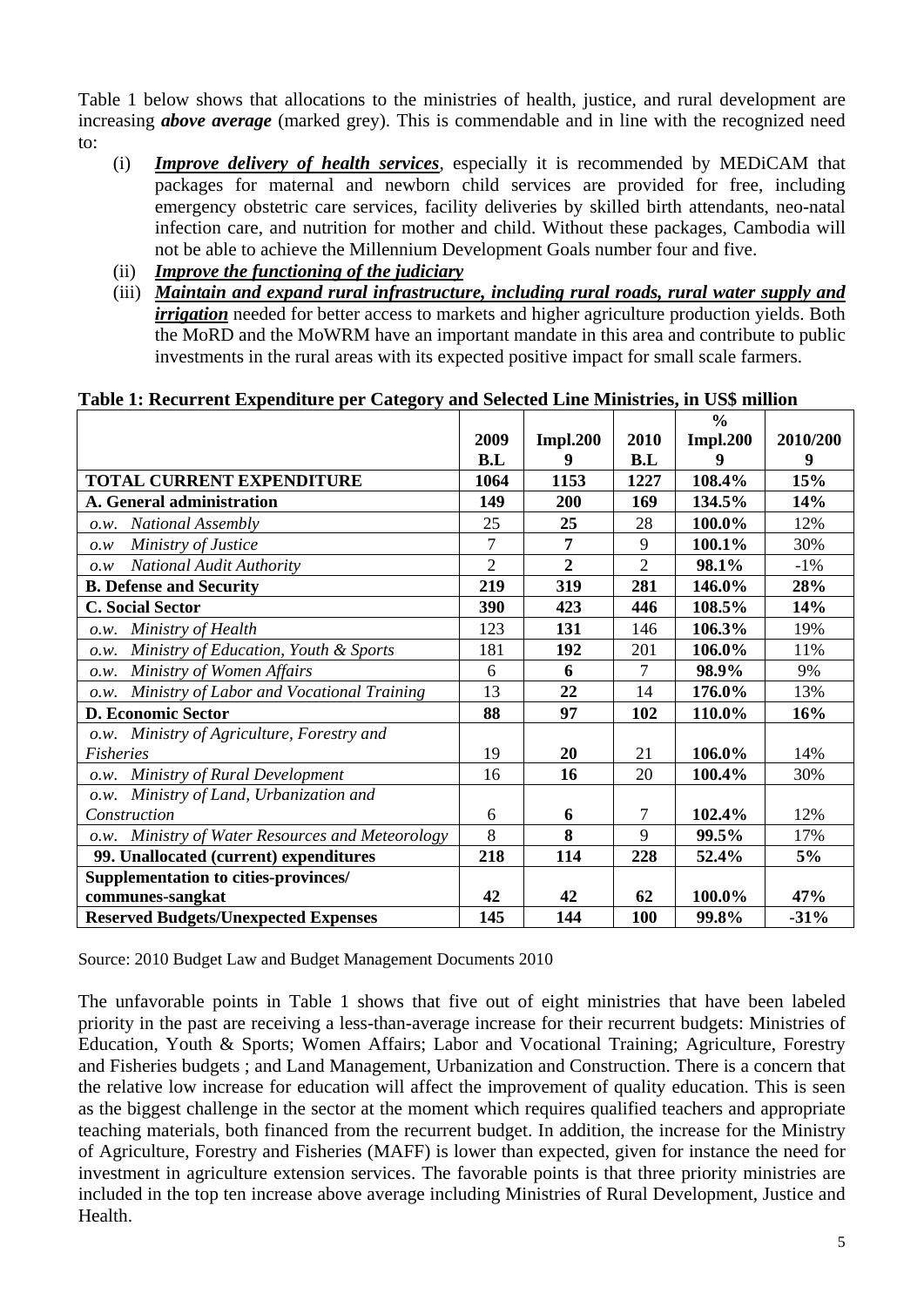Table 1 below shows that allocations to the ministries of health, justice, and rural development are increasing *above average* (marked grey). This is commendable and in line with the recognized need to:

- (i) *Improve delivery of health services*, especially it is recommended by MEDiCAM that packages for maternal and newborn child services are provided for free, including emergency obstetric care services, facility deliveries by skilled birth attendants, neo-natal infection care, and nutrition for mother and child. Without these packages, Cambodia will not be able to achieve the Millennium Development Goals number four and five.
- (ii) *Improve the functioning of the judiciary*
- (iii) *Maintain and expand rural infrastructure, including rural roads, rural water supply and irrigation* needed for better access to markets and higher agriculture production yields. Both the MoRD and the MoWRM have an important mandate in this area and contribute to public investments in the rural areas with its expected positive impact for small scale farmers.

|                                                   |                |                 |                | $\frac{0}{0}$   |          |
|---------------------------------------------------|----------------|-----------------|----------------|-----------------|----------|
|                                                   | 2009           | <b>Impl.200</b> | 2010           | <b>Impl.200</b> | 2010/200 |
|                                                   | B.L            | 9               | B.L            |                 | 9        |
| TOTAL CURRENT EXPENDITURE                         | 1064           | 1153            | 1227           | 108.4%          | 15%      |
| A. General administration                         | 149            | 200             | 169            | 134.5%          | 14%      |
| <b>National Assembly</b><br>O.W.                  | 25             | 25              | 28             | 100.0%          | 12%      |
| Ministry of Justice<br>0.W                        | $\overline{7}$ | 7               | 9              | 100.1%          | 30%      |
| National Audit Authority<br>0. W                  | $\overline{2}$ | $\overline{2}$  | $\overline{2}$ | 98.1%           | $-1\%$   |
| <b>B. Defense and Security</b>                    | 219            | 319             | 281            | 146.0%          | 28%      |
| <b>C. Social Sector</b>                           | 390            | 423             | 446            | 108.5%          | 14%      |
| Ministry of Health<br>O.W.                        | 123            | 131             | 146            | 106.3%          | 19%      |
| Ministry of Education, Youth & Sports<br>O.W.     | 181            | 192             | 201            | 106.0%          | 11%      |
| Ministry of Women Affairs<br>O.W.                 | 6              | 6               | 7              | 98.9%           | 9%       |
| Ministry of Labor and Vocational Training<br>O.W. | 13             | 22              | 14             | 176.0%          | 13%      |
| <b>D. Economic Sector</b>                         | 88             | 97              | 102            | 110.0%          | 16%      |
| o.w. Ministry of Agriculture, Forestry and        |                |                 |                |                 |          |
| Fisheries                                         | 19             | 20              | 21             | 106.0%          | 14%      |
| Ministry of Rural Development<br>O.W.             | 16             | 16              | 20             | 100.4%          | 30%      |
| o.w. Ministry of Land, Urbanization and           |                |                 |                |                 |          |
| Construction                                      | 6              | 6               | 7              | 102.4%          | 12%      |
| o.w. Ministry of Water Resources and Meteorology  | 8              | 8               | 9              | 99.5%           | 17%      |
| 99. Unallocated (current) expenditures            | 218            | 114             | 228            | 52.4%           | 5%       |
| <b>Supplementation to cities-provinces/</b>       |                |                 |                |                 |          |
| communes-sangkat                                  | 42             | 42              | 62             | 100.0%          | 47%      |
| <b>Reserved Budgets/Unexpected Expenses</b>       | 145            | 144             | 100            | 99.8%           | $-31%$   |

#### **Table 1: Recurrent Expenditure per Category and Selected Line Ministries, in US\$ million**

Source: 2010 Budget Law and Budget Management Documents 2010

The unfavorable points in Table 1 shows that five out of eight ministries that have been labeled priority in the past are receiving a less-than-average increase for their recurrent budgets: Ministries of Education, Youth & Sports; Women Affairs; Labor and Vocational Training; Agriculture, Forestry and Fisheries budgets ; and Land Management, Urbanization and Construction. There is a concern that the relative low increase for education will affect the improvement of quality education. This is seen as the biggest challenge in the sector at the moment which requires qualified teachers and appropriate teaching materials, both financed from the recurrent budget. In addition, the increase for the Ministry of Agriculture, Forestry and Fisheries (MAFF) is lower than expected, given for instance the need for investment in agriculture extension services. The favorable points is that three priority ministries are included in the top ten increase above average including Ministries of Rural Development, Justice and Health.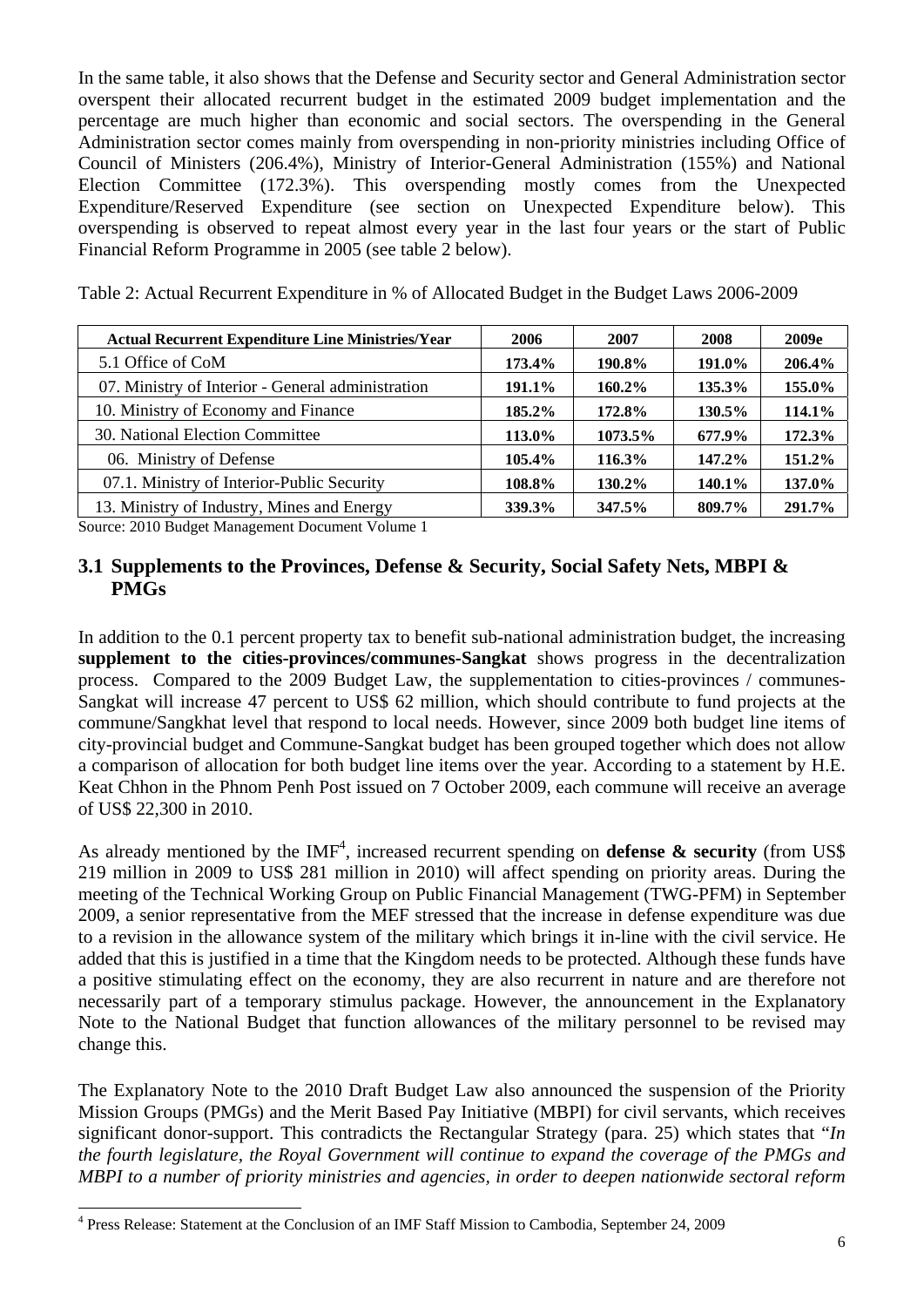In the same table, it also shows that the Defense and Security sector and General Administration sector overspent their allocated recurrent budget in the estimated 2009 budget implementation and the percentage are much higher than economic and social sectors. The overspending in the General Administration sector comes mainly from overspending in non-priority ministries including Office of Council of Ministers (206.4%), Ministry of Interior-General Administration (155%) and National Election Committee (172.3%). This overspending mostly comes from the Unexpected Expenditure/Reserved Expenditure (see section on Unexpected Expenditure below). This overspending is observed to repeat almost every year in the last four years or the start of Public Financial Reform Programme in 2005 (see table 2 below).

Table 2: Actual Recurrent Expenditure in % of Allocated Budget in the Budget Laws 2006-2009

| <b>Actual Recurrent Expenditure Line Ministries/Year</b> | 2006   | 2007      | 2008   | 2009e  |
|----------------------------------------------------------|--------|-----------|--------|--------|
| 5.1 Office of CoM                                        | 173.4% | 190.8%    | 191.0% | 206.4% |
| 07. Ministry of Interior - General administration        | 191.1% | $160.2\%$ | 135.3% | 155.0% |
| 10. Ministry of Economy and Finance                      | 185.2% | 172.8%    | 130.5% | 114.1% |
| 30. National Election Committee                          | 113.0% | 1073.5%   | 677.9% | 172.3% |
| 06. Ministry of Defense                                  | 105.4% | 116.3%    | 147.2% | 151.2% |
| 07.1. Ministry of Interior-Public Security               | 108.8% | 130.2%    | 140.1% | 137.0% |
| 13. Ministry of Industry, Mines and Energy               | 339.3% | 347.5%    | 809.7% | 291.7% |

Source: 2010 Budget Management Document Volume 1

## **3.1 Supplements to the Provinces, Defense & Security, Social Safety Nets, MBPI & PMGs**

In addition to the 0.1 percent property tax to benefit sub-national administration budget, the increasing **supplement to the cities-provinces/communes-Sangkat** shows progress in the decentralization process. Compared to the 2009 Budget Law, the supplementation to cities-provinces / communes-Sangkat will increase 47 percent to US\$ 62 million, which should contribute to fund projects at the commune/Sangkhat level that respond to local needs. However, since 2009 both budget line items of city-provincial budget and Commune-Sangkat budget has been grouped together which does not allow a comparison of allocation for both budget line items over the year. According to a statement by H.E. Keat Chhon in the Phnom Penh Post issued on 7 October 2009, each commune will receive an average of US\$ 22,300 in 2010.

As already mentioned by the  $IMF<sup>4</sup>$ , increased recurrent spending on **defense & security** (from US\$ 219 million in 2009 to US\$ 281 million in 2010) will affect spending on priority areas. During the meeting of the Technical Working Group on Public Financial Management (TWG-PFM) in September 2009, a senior representative from the MEF stressed that the increase in defense expenditure was due to a revision in the allowance system of the military which brings it in-line with the civil service. He added that this is justified in a time that the Kingdom needs to be protected. Although these funds have a positive stimulating effect on the economy, they are also recurrent in nature and are therefore not necessarily part of a temporary stimulus package. However, the announcement in the Explanatory Note to the National Budget that function allowances of the military personnel to be revised may change this.

The Explanatory Note to the 2010 Draft Budget Law also announced the suspension of the Priority Mission Groups (PMGs) and the Merit Based Pay Initiative (MBPI) for civil servants, which receives significant donor-support. This contradicts the Rectangular Strategy (para. 25) which states that "*In the fourth legislature, the Royal Government will continue to expand the coverage of the PMGs and MBPI to a number of priority ministries and agencies, in order to deepen nationwide sectoral reform* 

 4 Press Release: Statement at the Conclusion of an IMF Staff Mission to Cambodia, September 24, 2009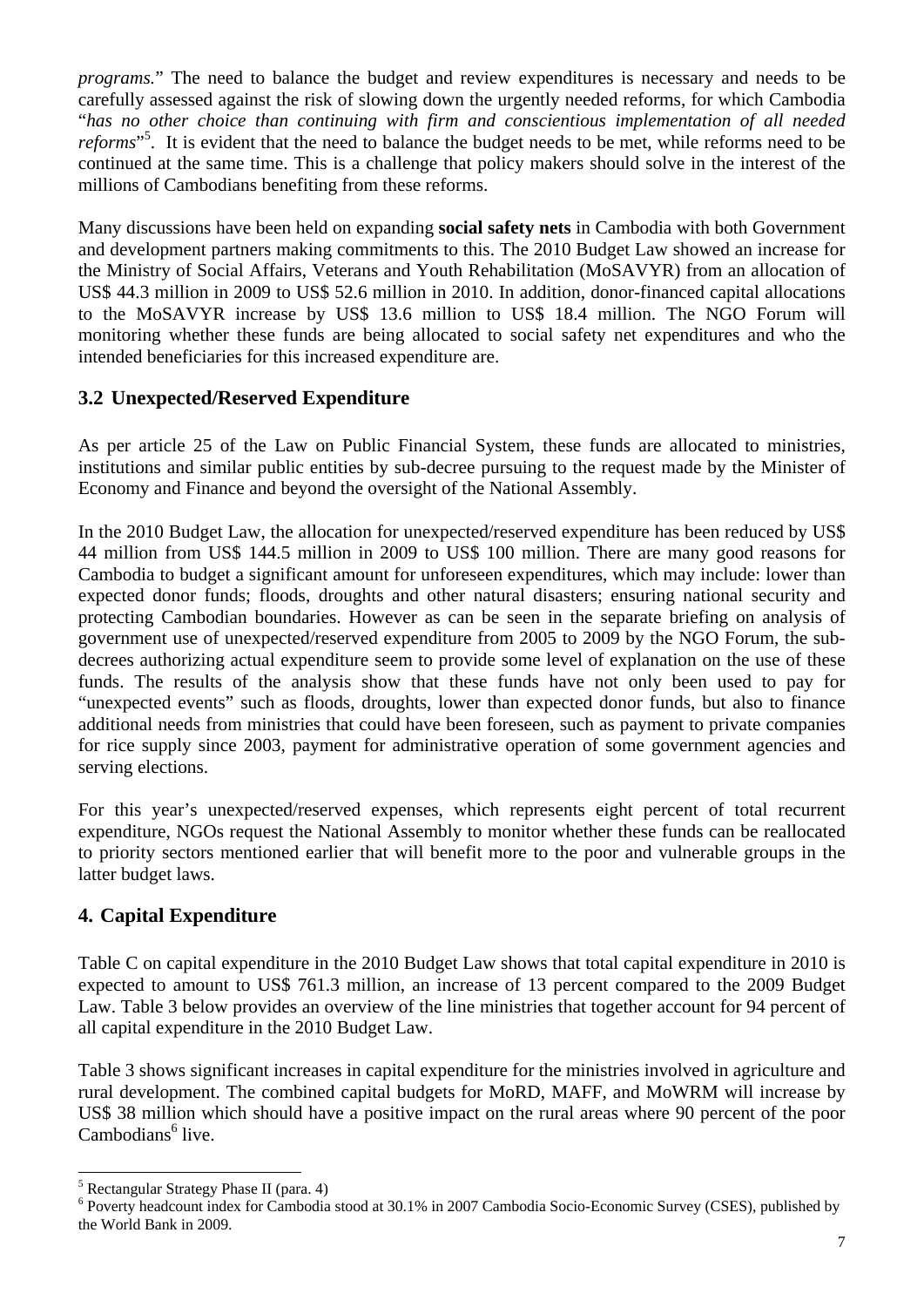*programs.*" The need to balance the budget and review expenditures is necessary and needs to be carefully assessed against the risk of slowing down the urgently needed reforms, for which Cambodia "*has no other choice than continuing with firm and conscientious implementation of all needed*  reforms<sup>"5</sup>. It is evident that the need to balance the budget needs to be met, while reforms need to be continued at the same time. This is a challenge that policy makers should solve in the interest of the millions of Cambodians benefiting from these reforms.

Many discussions have been held on expanding **social safety nets** in Cambodia with both Government and development partners making commitments to this. The 2010 Budget Law showed an increase for the Ministry of Social Affairs, Veterans and Youth Rehabilitation (MoSAVYR) from an allocation of US\$ 44.3 million in 2009 to US\$ 52.6 million in 2010. In addition, donor-financed capital allocations to the MoSAVYR increase by US\$ 13.6 million to US\$ 18.4 million. The NGO Forum will monitoring whether these funds are being allocated to social safety net expenditures and who the intended beneficiaries for this increased expenditure are.

# **3.2 Unexpected/Reserved Expenditure**

As per article 25 of the Law on Public Financial System, these funds are allocated to ministries, institutions and similar public entities by sub-decree pursuing to the request made by the Minister of Economy and Finance and beyond the oversight of the National Assembly.

In the 2010 Budget Law, the allocation for unexpected/reserved expenditure has been reduced by US\$ 44 million from US\$ 144.5 million in 2009 to US\$ 100 million. There are many good reasons for Cambodia to budget a significant amount for unforeseen expenditures, which may include: lower than expected donor funds; floods, droughts and other natural disasters; ensuring national security and protecting Cambodian boundaries. However as can be seen in the separate briefing on analysis of government use of unexpected/reserved expenditure from 2005 to 2009 by the NGO Forum, the subdecrees authorizing actual expenditure seem to provide some level of explanation on the use of these funds. The results of the analysis show that these funds have not only been used to pay for "unexpected events" such as floods, droughts, lower than expected donor funds, but also to finance additional needs from ministries that could have been foreseen, such as payment to private companies for rice supply since 2003, payment for administrative operation of some government agencies and serving elections.

For this year's unexpected/reserved expenses, which represents eight percent of total recurrent expenditure, NGOs request the National Assembly to monitor whether these funds can be reallocated to priority sectors mentioned earlier that will benefit more to the poor and vulnerable groups in the latter budget laws.

## **4. Capital Expenditure**

Table C on capital expenditure in the 2010 Budget Law shows that total capital expenditure in 2010 is expected to amount to US\$ 761.3 million, an increase of 13 percent compared to the 2009 Budget Law. Table 3 below provides an overview of the line ministries that together account for 94 percent of all capital expenditure in the 2010 Budget Law.

Table 3 shows significant increases in capital expenditure for the ministries involved in agriculture and rural development. The combined capital budgets for MoRD, MAFF, and MoWRM will increase by US\$ 38 million which should have a positive impact on the rural areas where 90 percent of the poor Cambodians<sup>6</sup> live.

 $\overline{a}$ 

<sup>&</sup>lt;sup>5</sup> Rectangular Strategy Phase II (para. 4)

<sup>&</sup>lt;sup>6</sup> Poverty headcount index for Cambodia stood at 30.1% in 2007 Cambodia Socio-Economic Survey (CSES), published by the World Bank in 2009.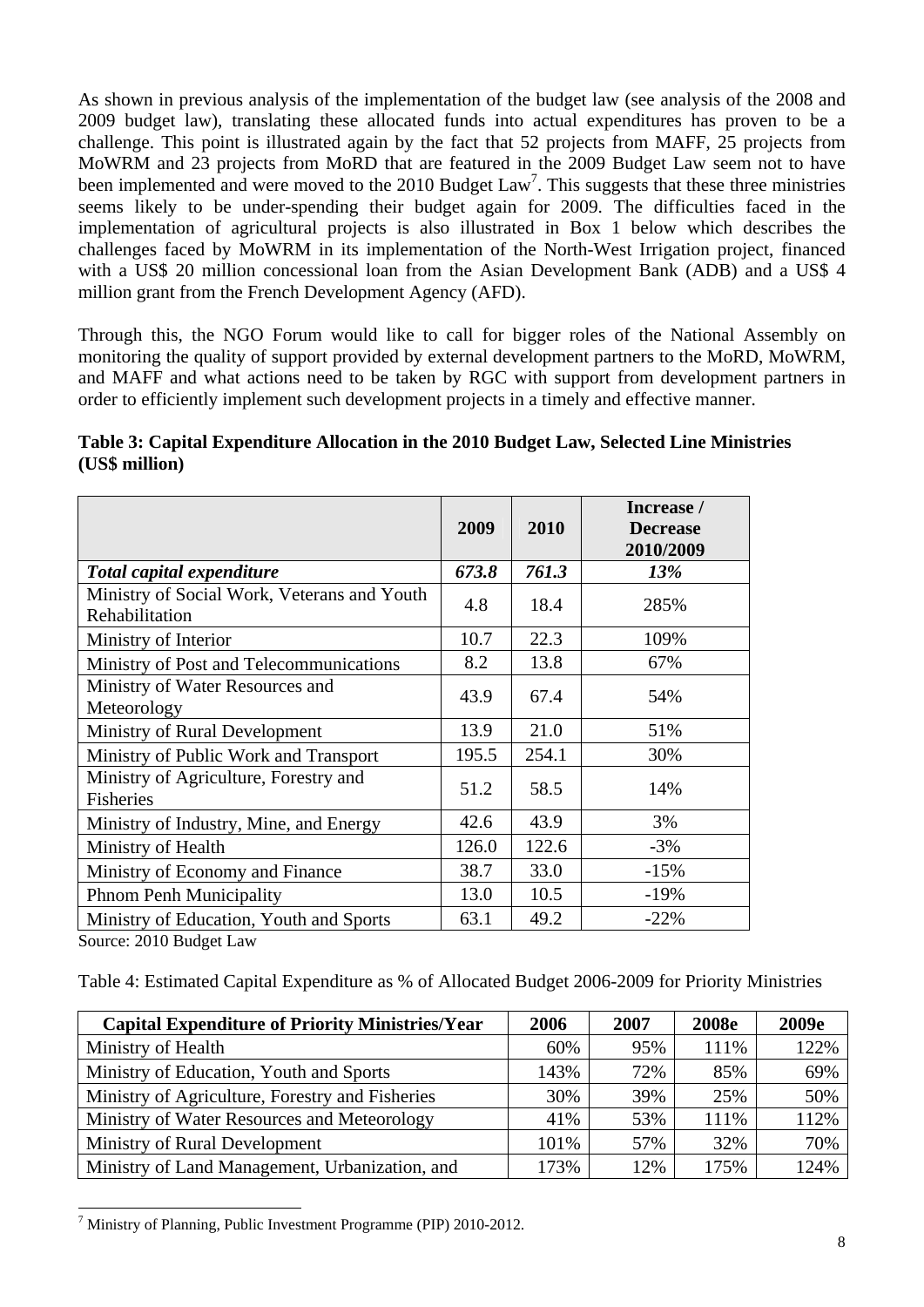As shown in previous analysis of the implementation of the budget law (see analysis of the 2008 and 2009 budget law), translating these allocated funds into actual expenditures has proven to be a challenge. This point is illustrated again by the fact that 52 projects from MAFF, 25 projects from MoWRM and 23 projects from MoRD that are featured in the 2009 Budget Law seem not to have been implemented and were moved to the 2010 Budget Law<sup>7</sup>. This suggests that these three ministries seems likely to be under-spending their budget again for 2009. The difficulties faced in the implementation of agricultural projects is also illustrated in Box 1 below which describes the challenges faced by MoWRM in its implementation of the North-West Irrigation project, financed with a US\$ 20 million concessional loan from the Asian Development Bank (ADB) and a US\$ 4 million grant from the French Development Agency (AFD).

Through this, the NGO Forum would like to call for bigger roles of the National Assembly on monitoring the quality of support provided by external development partners to the MoRD, MoWRM, and MAFF and what actions need to be taken by RGC with support from development partners in order to efficiently implement such development projects in a timely and effective manner.

| Table 3: Capital Expenditure Allocation in the 2010 Budget Law, Selected Line Ministries |  |
|------------------------------------------------------------------------------------------|--|
| (US\$ million)                                                                           |  |

|                                                               | 2009  | 2010  | Increase /<br><b>Decrease</b><br>2010/2009 |
|---------------------------------------------------------------|-------|-------|--------------------------------------------|
| Total capital expenditure                                     | 673.8 | 761.3 | 13%                                        |
| Ministry of Social Work, Veterans and Youth<br>Rehabilitation | 4.8   | 18.4  | 285%                                       |
| Ministry of Interior                                          | 10.7  | 22.3  | 109%                                       |
| Ministry of Post and Telecommunications                       | 8.2   | 13.8  | 67%                                        |
| Ministry of Water Resources and<br>Meteorology                | 43.9  | 67.4  | 54%                                        |
| Ministry of Rural Development                                 | 13.9  | 21.0  | 51%                                        |
| Ministry of Public Work and Transport                         | 195.5 | 254.1 | 30%                                        |
| Ministry of Agriculture, Forestry and<br><b>Fisheries</b>     | 51.2  | 58.5  | 14%                                        |
| Ministry of Industry, Mine, and Energy                        | 42.6  | 43.9  | 3%                                         |
| Ministry of Health                                            | 126.0 | 122.6 | $-3\%$                                     |
| Ministry of Economy and Finance                               | 38.7  | 33.0  | $-15%$                                     |
| <b>Phnom Penh Municipality</b>                                | 13.0  | 10.5  | $-19%$                                     |
| Ministry of Education, Youth and Sports                       | 63.1  | 49.2  | $-22%$                                     |
| Source: 2010 Budget Law                                       |       |       |                                            |

Table 4: Estimated Capital Expenditure as % of Allocated Budget 2006-2009 for Priority Ministries

| <b>Capital Expenditure of Priority Ministries/Year</b> | 2006 | 2007 | <b>2008e</b> | 2009e |
|--------------------------------------------------------|------|------|--------------|-------|
| Ministry of Health                                     | 60%  | 95%  | 111%         | 122%  |
| Ministry of Education, Youth and Sports                | 143% | 72%  | 85%          | 69%   |
| Ministry of Agriculture, Forestry and Fisheries        | 30%  | 39%  | 25%          | 50%   |
| Ministry of Water Resources and Meteorology            | 41%  | 53%  | 111%         | 112%  |
| Ministry of Rural Development                          | 101% | 57%  | 32%          | 70%   |
| Ministry of Land Management, Urbanization, and         | 173% | 12%  | 175%         | 124%  |

 $7$  Ministry of Planning, Public Investment Programme (PIP) 2010-2012.

 $\overline{a}$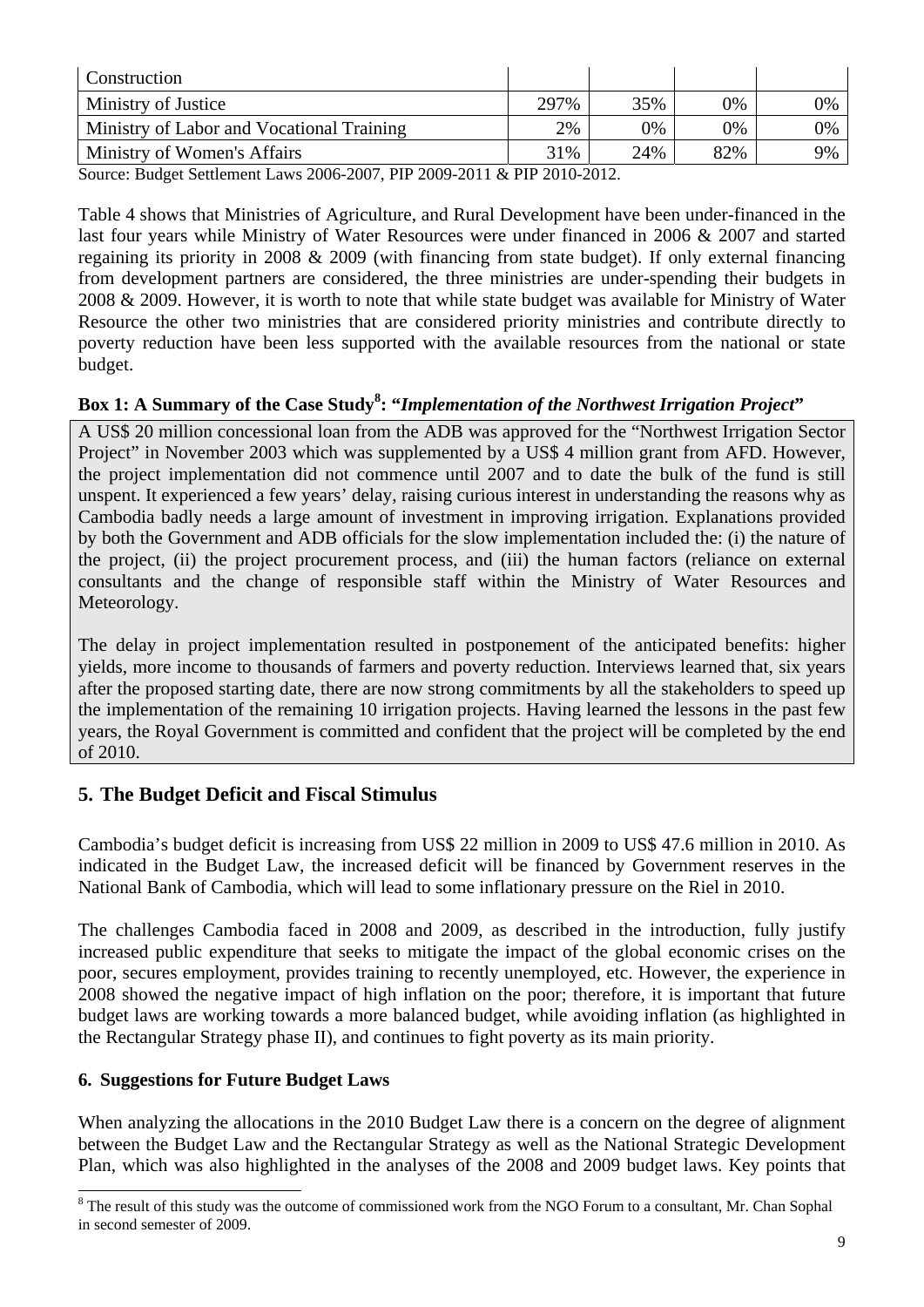| Construction                              |      |     |     |    |
|-------------------------------------------|------|-----|-----|----|
| Ministry of Justice                       | 297% | 35% | 0%  | 0% |
| Ministry of Labor and Vocational Training | 2%   | 0%  | 0%  | 0% |
| Ministry of Women's Affairs               | 31%  | 24% | 82% | 9% |

Source: Budget Settlement Laws 2006-2007, PIP 2009-2011 & PIP 2010-2012.

Table 4 shows that Ministries of Agriculture, and Rural Development have been under-financed in the last four years while Ministry of Water Resources were under financed in 2006 & 2007 and started regaining its priority in 2008 & 2009 (with financing from state budget). If only external financing from development partners are considered, the three ministries are under-spending their budgets in 2008 & 2009. However, it is worth to note that while state budget was available for Ministry of Water Resource the other two ministries that are considered priority ministries and contribute directly to poverty reduction have been less supported with the available resources from the national or state budget.

## Box 1: A Summary of the Case Study<sup>8</sup>: "Implementation of the Northwest Irrigation Project"

A US\$ 20 million concessional loan from the ADB was approved for the "Northwest Irrigation Sector Project" in November 2003 which was supplemented by a US\$ 4 million grant from AFD. However, the project implementation did not commence until 2007 and to date the bulk of the fund is still unspent. It experienced a few years' delay, raising curious interest in understanding the reasons why as Cambodia badly needs a large amount of investment in improving irrigation. Explanations provided by both the Government and ADB officials for the slow implementation included the: (i) the nature of the project, (ii) the project procurement process, and (iii) the human factors (reliance on external consultants and the change of responsible staff within the Ministry of Water Resources and Meteorology.

The delay in project implementation resulted in postponement of the anticipated benefits: higher yields, more income to thousands of farmers and poverty reduction. Interviews learned that, six years after the proposed starting date, there are now strong commitments by all the stakeholders to speed up the implementation of the remaining 10 irrigation projects. Having learned the lessons in the past few years, the Royal Government is committed and confident that the project will be completed by the end of 2010.

## **5. The Budget Deficit and Fiscal Stimulus**

Cambodia's budget deficit is increasing from US\$ 22 million in 2009 to US\$ 47.6 million in 2010. As indicated in the Budget Law, the increased deficit will be financed by Government reserves in the National Bank of Cambodia, which will lead to some inflationary pressure on the Riel in 2010.

The challenges Cambodia faced in 2008 and 2009, as described in the introduction, fully justify increased public expenditure that seeks to mitigate the impact of the global economic crises on the poor, secures employment, provides training to recently unemployed, etc. However, the experience in 2008 showed the negative impact of high inflation on the poor; therefore, it is important that future budget laws are working towards a more balanced budget, while avoiding inflation (as highlighted in the Rectangular Strategy phase II), and continues to fight poverty as its main priority.

#### **6. Suggestions for Future Budget Laws**

 $\overline{a}$ 

When analyzing the allocations in the 2010 Budget Law there is a concern on the degree of alignment between the Budget Law and the Rectangular Strategy as well as the National Strategic Development Plan, which was also highlighted in the analyses of the 2008 and 2009 budget laws. Key points that

<sup>&</sup>lt;sup>8</sup> The result of this study was the outcome of commissioned work from the NGO Forum to a consultant, Mr. Chan Sophal in second semester of 2009.